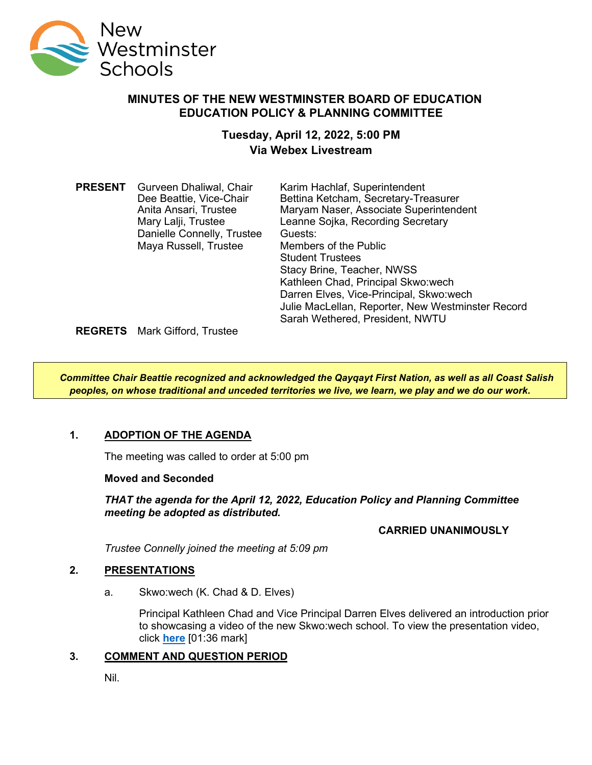

### **MINUTES OF THE NEW WESTMINSTER BOARD OF EDUCATION EDUCATION POLICY & PLANNING COMMITTEE**

# **Tuesday, April 12, 2022, 5:00 PM Via Webex Livestream**

| <b>PRESENT</b> | Gurveen Dhaliwal, Chair    | Karim Hachlaf, Superintendent                     |
|----------------|----------------------------|---------------------------------------------------|
|                | Dee Beattie, Vice-Chair    | Bettina Ketcham, Secretary-Treasurer              |
|                | Anita Ansari, Trustee      | Maryam Naser, Associate Superintendent            |
|                | Mary Lalji, Trustee        | Leanne Sojka, Recording Secretary                 |
|                | Danielle Connelly, Trustee | Guests:                                           |
|                | Maya Russell, Trustee      | Members of the Public                             |
|                |                            | <b>Student Trustees</b>                           |
|                |                            | Stacy Brine, Teacher, NWSS                        |
|                |                            | Kathleen Chad, Principal Skwo:wech                |
|                |                            | Darren Elves, Vice-Principal, Skwo:wech           |
|                |                            | Julie MacLellan, Reporter, New Westminster Record |
|                |                            | Sarah Wethered, President, NWTU                   |

**REGRETS** Mark Gifford, Trustee

*Committee Chair Beattie recognized and acknowledged the Qayqayt First Nation, as well as all Coast Salish peoples, on whose traditional and unceded territories we live, we learn, we play and we do our work.*

# **1. ADOPTION OF THE AGENDA**

The meeting was called to order at 5:00 pm

**Moved and Seconded**

*THAT the agenda for the April 12, 2022, Education Policy and Planning Committee meeting be adopted as distributed.*

### **CARRIED UNANIMOUSLY**

*Trustee Connelly joined the meeting at 5:09 pm*

### **2. PRESENTATIONS**

a. Skwo:wech (K. Chad & D. Elves)

Principal Kathleen Chad and Vice Principal Darren Elves delivered an introduction prior to showcasing a video of the new Skwo:wech school. To view the presentation video, click **[here](https://www.youtube.com/watch?v=pM9JDK-Xovo)** [01:36 mark]

### **3. COMMENT AND QUESTION PERIOD**

Nil.